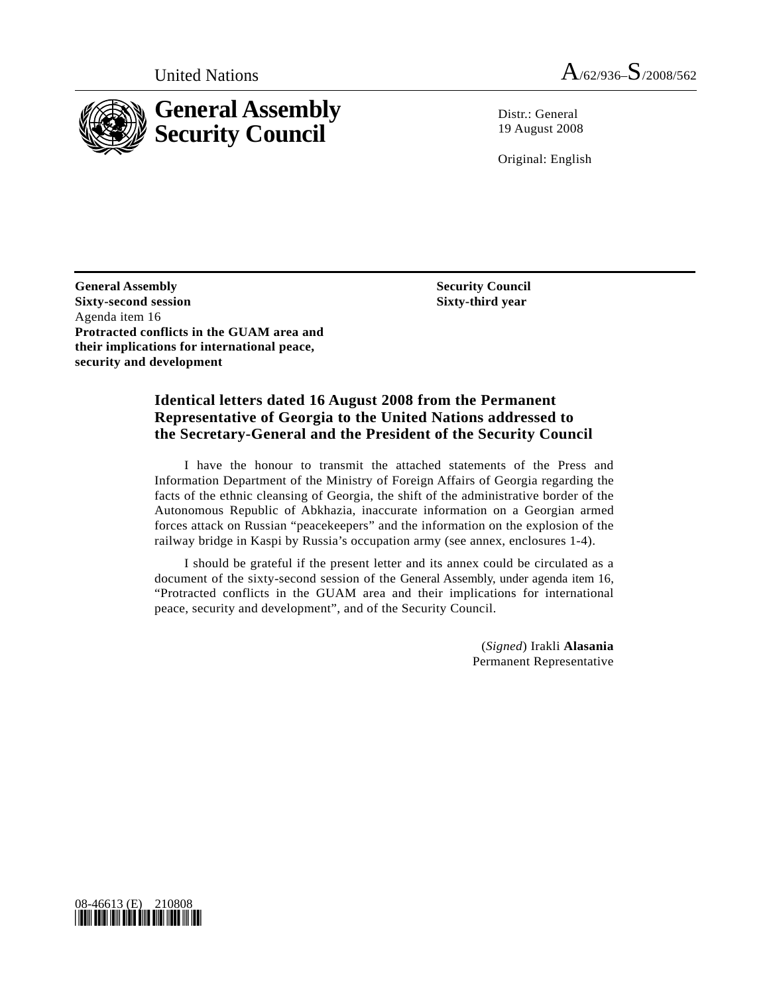

United Nations  $A_{/62/936} - S_{/2008/562}$ 

 $Distr: General$ 19 August 2008

Original: English

**General Assembly Sixty-second session**  Agenda item 16 **Protracted conflicts in the GUAM area and their implications for international peace, security and development** 

 **Security Council Sixty-third year** 

# **Identical letters dated 16 August 2008 from the Permanent Representative of Georgia to the United Nations addressed to the Secretary-General and the President of the Security Council**

 I have the honour to transmit the attached statements of the Press and Information Department of the Ministry of Foreign Affairs of Georgia regarding the facts of the ethnic cleansing of Georgia, the shift of the administrative border of the Autonomous Republic of Abkhazia, inaccurate information on a Georgian armed forces attack on Russian "peacekeepers" and the information on the explosion of the railway bridge in Kaspi by Russia's occupation army (see annex, enclosures 1-4).

 I should be grateful if the present letter and its annex could be circulated as a document of the sixty-second session of the General Assembly, under agenda item 16, "Protracted conflicts in the GUAM area and their implications for international peace, security and development", and of the Security Council.

> (*Signed*) Irakli **Alasania** Permanent Representative

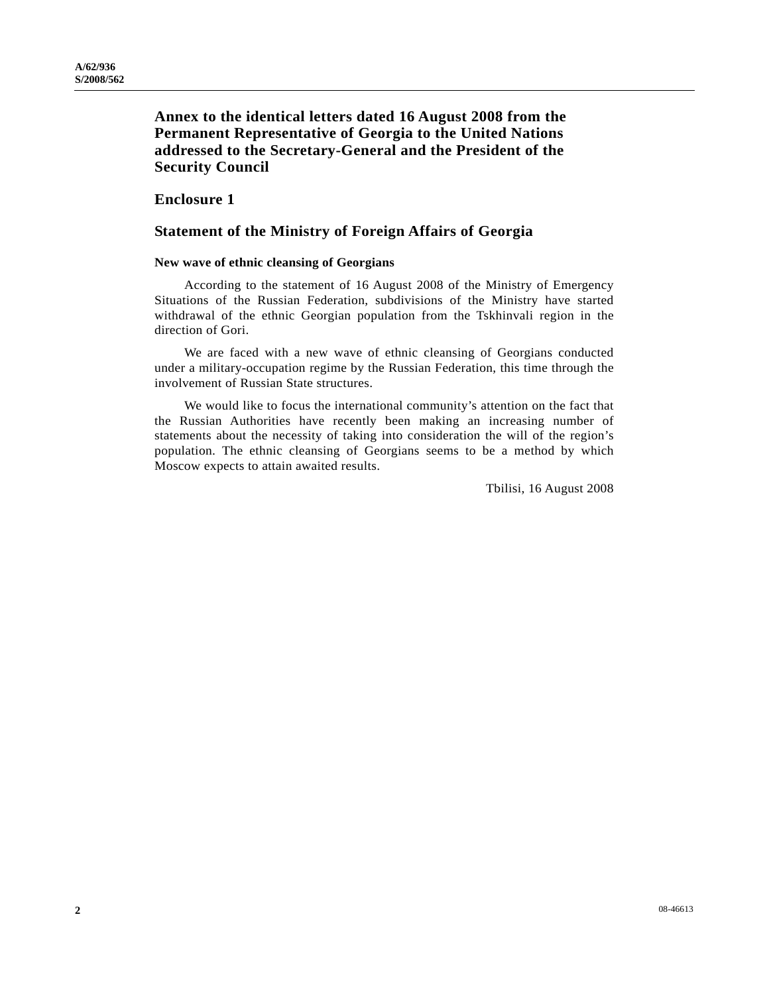# **Annex to the identical letters dated 16 August 2008 from the Permanent Representative of Georgia to the United Nations addressed to the Secretary-General and the President of the Security Council**

### **Enclosure 1**

# **Statement of the Ministry of Foreign Affairs of Georgia**

#### **New wave of ethnic cleansing of Georgians**

 According to the statement of 16 August 2008 of the Ministry of Emergency Situations of the Russian Federation, subdivisions of the Ministry have started withdrawal of the ethnic Georgian population from the Tskhinvali region in the direction of Gori.

 We are faced with a new wave of ethnic cleansing of Georgians conducted under a military-occupation regime by the Russian Federation, this time through the involvement of Russian State structures.

 We would like to focus the international community's attention on the fact that the Russian Authorities have recently been making an increasing number of statements about the necessity of taking into consideration the will of the region's population. The ethnic cleansing of Georgians seems to be a method by which Moscow expects to attain awaited results.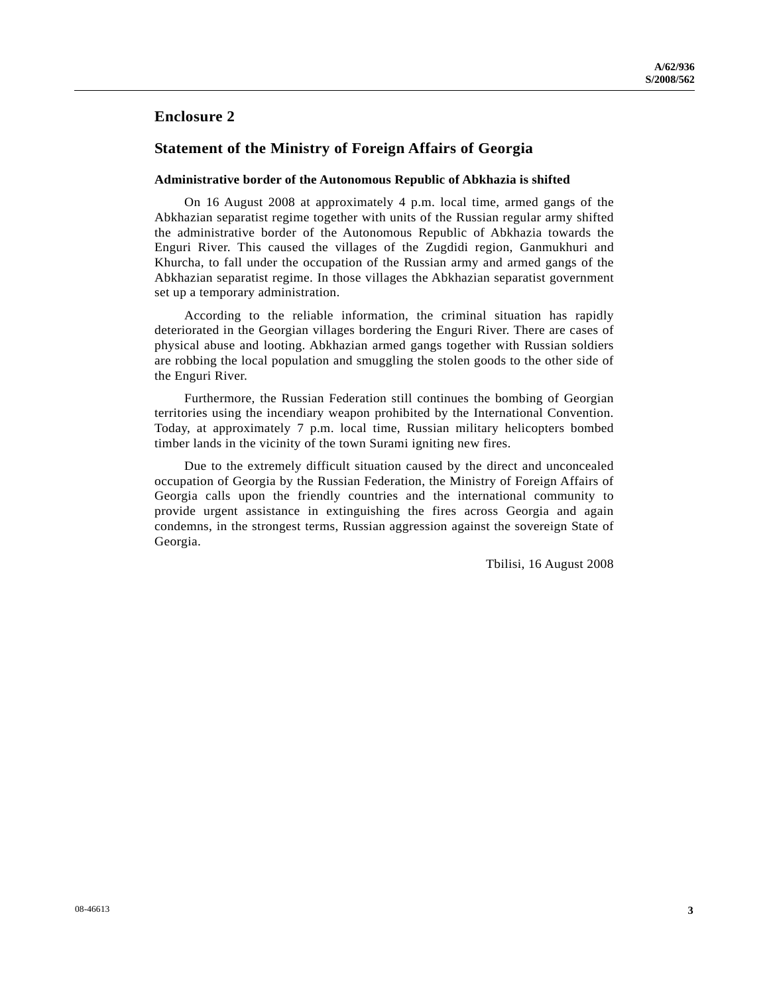### **Enclosure 2**

### **Statement of the Ministry of Foreign Affairs of Georgia**

#### **Administrative border of the Autonomous Republic of Abkhazia is shifted**

 On 16 August 2008 at approximately 4 p.m. local time, armed gangs of the Abkhazian separatist regime together with units of the Russian regular army shifted the administrative border of the Autonomous Republic of Abkhazia towards the Enguri River. This caused the villages of the Zugdidi region, Ganmukhuri and Khurcha, to fall under the occupation of the Russian army and armed gangs of the Abkhazian separatist regime. In those villages the Abkhazian separatist government set up a temporary administration.

 According to the reliable information, the criminal situation has rapidly deteriorated in the Georgian villages bordering the Enguri River. There are cases of physical abuse and looting. Abkhazian armed gangs together with Russian soldiers are robbing the local population and smuggling the stolen goods to the other side of the Enguri River.

 Furthermore, the Russian Federation still continues the bombing of Georgian territories using the incendiary weapon prohibited by the International Convention. Today, at approximately 7 p.m. local time, Russian military helicopters bombed timber lands in the vicinity of the town Surami igniting new fires.

 Due to the extremely difficult situation caused by the direct and unconcealed occupation of Georgia by the Russian Federation, the Ministry of Foreign Affairs of Georgia calls upon the friendly countries and the international community to provide urgent assistance in extinguishing the fires across Georgia and again condemns, in the strongest terms, Russian aggression against the sovereign State of Georgia.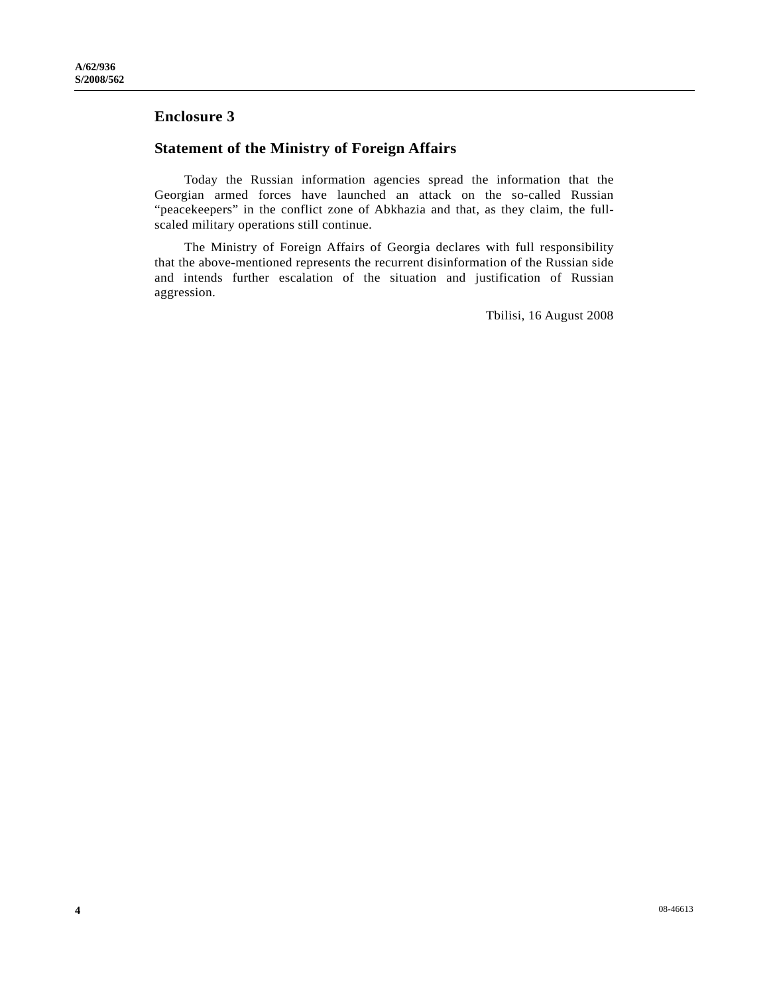# **Enclosure 3**

# **Statement of the Ministry of Foreign Affairs**

 Today the Russian information agencies spread the information that the Georgian armed forces have launched an attack on the so-called Russian "peacekeepers" in the conflict zone of Abkhazia and that, as they claim, the fullscaled military operations still continue.

 The Ministry of Foreign Affairs of Georgia declares with full responsibility that the above-mentioned represents the recurrent disinformation of the Russian side and intends further escalation of the situation and justification of Russian aggression.